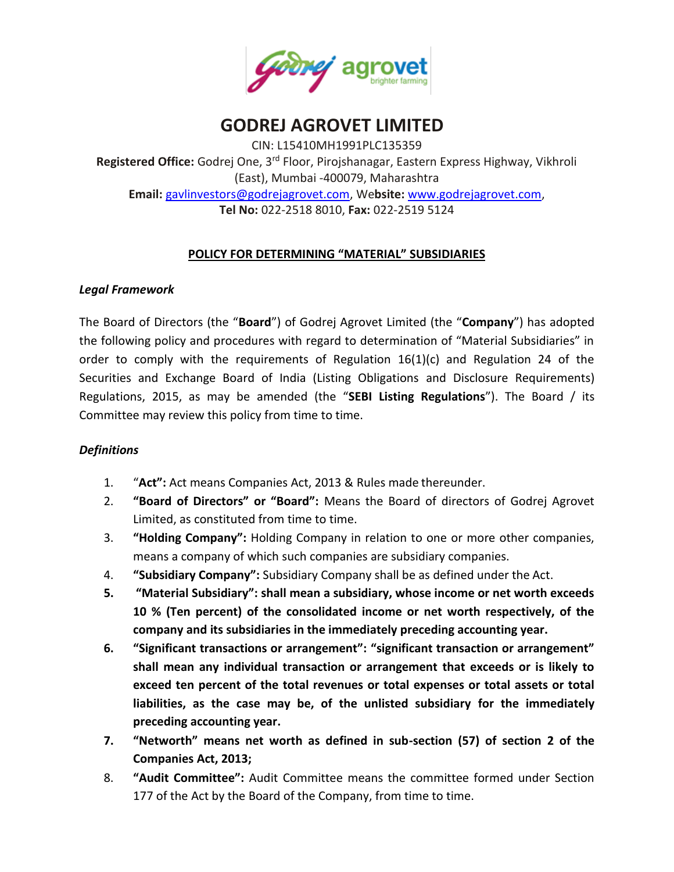

# **GODREJ AGROVET LIMITED**

CIN: L15410MH1991PLC135359 **Registered Office:** Godrej One, 3rd Floor, Pirojshanagar, Eastern Express Highway, Vikhroli (East), Mumbai -400079, Maharashtra **Email:** [gavlinvestors@godrejagrovet.com,](mailto:gavlinvestors@godrejagrovet.com) We**bsite:** [www.godrejagrovet.com,](http://www.godrejagrovet.com/) **Tel No:** 022-2518 8010, **Fax:** 022-2519 5124

## **POLICY FOR DETERMINING "MATERIAL" SUBSIDIARIES**

## *Legal Framework*

The Board of Directors (the "**Board**") of Godrej Agrovet Limited (the "**Company**") has adopted the following policy and procedures with regard to determination of "Material Subsidiaries" in order to comply with the requirements of Regulation  $16(1)(c)$  and Regulation 24 of the Securities and Exchange Board of India (Listing Obligations and Disclosure Requirements) Regulations, 2015, as may be amended (the "**SEBI Listing Regulations**"). The Board / its Committee may review this policy from time to time.

## *Definitions*

- 1. "**Act":** Act means Companies Act, 2013 & Rules made thereunder.
- 2. **"Board of Directors" or "Board":** Means the Board of directors of Godrej Agrovet Limited, as constituted from time to time.
- 3. **"Holding Company":** Holding Company in relation to one or more other companies, means a company of which such companies are subsidiary companies.
- 4. **"Subsidiary Company":** Subsidiary Company shall be as defined under the Act.
- **5. "Material Subsidiary": shall mean a subsidiary, whose income or net worth exceeds 10 % (Ten percent) of the consolidated income or net worth respectively, of the company and its subsidiaries in the immediately preceding accounting year.**
- **6. "Significant transactions or arrangement": "significant transaction or arrangement" shall mean any individual transaction or arrangement that exceeds or is likely to exceed ten percent of the total revenues or total expenses or total assets or total liabilities, as the case may be, of the unlisted subsidiary for the immediately preceding accounting year.**
- **7. "Networth" means net worth as defined in sub-section (57) of section 2 of the Companies Act, 2013;**
- 8. **"Audit Committee":** Audit Committee means the committee formed under Section 177 of the Act by the Board of the Company, from time to time.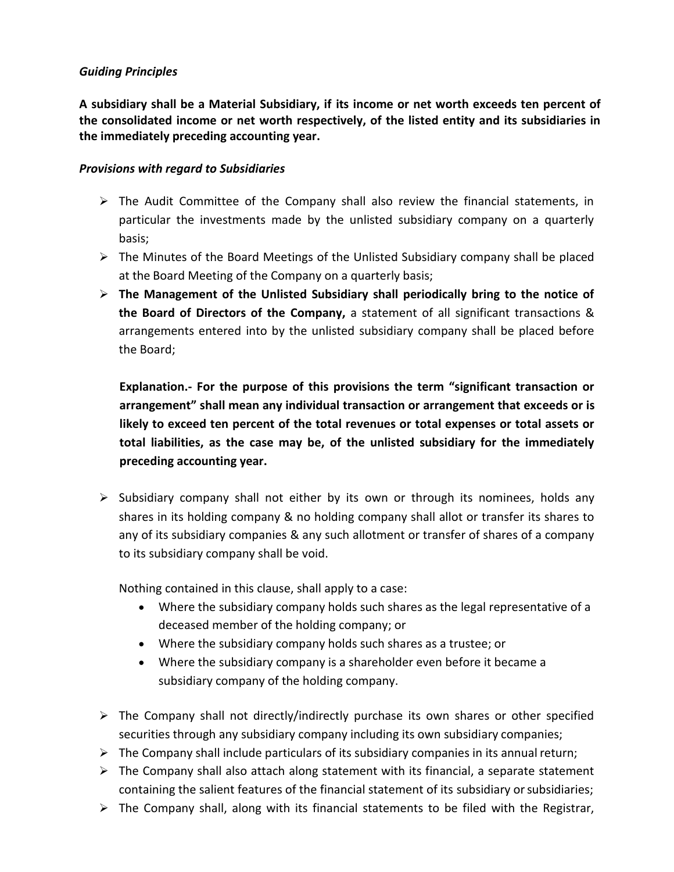#### *Guiding Principles*

**A subsidiary shall be a Material Subsidiary, if its income or net worth exceeds ten percent of the consolidated income or net worth respectively, of the listed entity and its subsidiaries in the immediately preceding accounting year.**

#### *Provisions with regard to Subsidiaries*

- $\triangleright$  The Audit Committee of the Company shall also review the financial statements, in particular the investments made by the unlisted subsidiary company on a quarterly basis;
- $\triangleright$  The Minutes of the Board Meetings of the Unlisted Subsidiary company shall be placed at the Board Meeting of the Company on a quarterly basis;
- **The Management of the Unlisted Subsidiary shall periodically bring to the notice of the Board of Directors of the Company,** a statement of all significant transactions & arrangements entered into by the unlisted subsidiary company shall be placed before the Board;

**Explanation.- For the purpose of this provisions the term "significant transaction or arrangement" shall mean any individual transaction or arrangement that exceeds or is likely to exceed ten percent of the total revenues or total expenses or total assets or total liabilities, as the case may be, of the unlisted subsidiary for the immediately preceding accounting year.**

 $\triangleright$  Subsidiary company shall not either by its own or through its nominees, holds any shares in its holding company & no holding company shall allot or transfer its shares to any of its subsidiary companies & any such allotment or transfer of shares of a company to its subsidiary company shall be void.

Nothing contained in this clause, shall apply to a case:

- Where the subsidiary company holds such shares as the legal representative of a deceased member of the holding company; or
- Where the subsidiary company holds such shares as a trustee; or
- Where the subsidiary company is a shareholder even before it became a subsidiary company of the holding company.
- $\triangleright$  The Company shall not directly/indirectly purchase its own shares or other specified securities through any subsidiary company including its own subsidiary companies;
- $\triangleright$  The Company shall include particulars of its subsidiary companies in its annual return;
- $\triangleright$  The Company shall also attach along statement with its financial, a separate statement containing the salient features of the financial statement of its subsidiary or subsidiaries;
- $\triangleright$  The Company shall, along with its financial statements to be filed with the Registrar,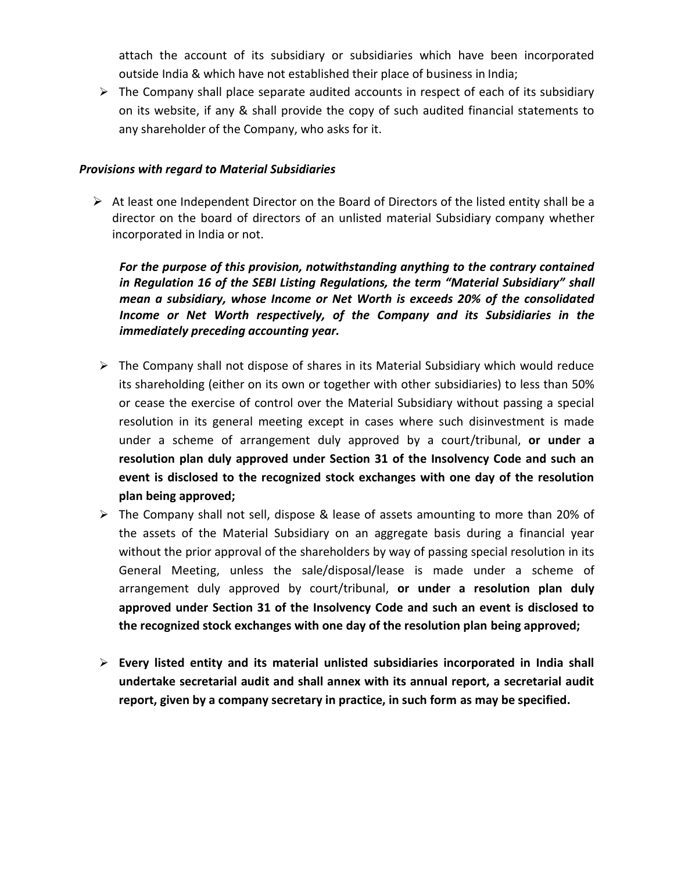attach the account of its subsidiary or subsidiaries which have been incorporated outside India & which have not established their place of business in India;

 $\triangleright$  The Company shall place separate audited accounts in respect of each of its subsidiary on its website, if any & shall provide the copy of such audited financial statements to any shareholder of the Company, who asks for it.

#### *Provisions with regard to Material Subsidiaries*

 $\triangleright$  At least one Independent Director on the Board of Directors of the listed entity shall be a director on the board of directors of an unlisted material Subsidiary company whether incorporated in India or not.

*For the purpose of this provision, notwithstanding anything to the contrary contained in Regulation 16 of the SEBI Listing Regulations, the term "Material Subsidiary" shall mean a subsidiary, whose Income or Net Worth is exceeds 20% of the consolidated Income or Net Worth respectively, of the Company and its Subsidiaries in the immediately preceding accounting year.*

- $\triangleright$  The Company shall not dispose of shares in its Material Subsidiary which would reduce its shareholding (either on its own or together with other subsidiaries) to less than 50% or cease the exercise of control over the Material Subsidiary without passing a special resolution in its general meeting except in cases where such disinvestment is made under a scheme of arrangement duly approved by a court/tribunal, **or under a resolution plan duly approved under Section 31 of the Insolvency Code and such an event is disclosed to the recognized stock exchanges with one day of the resolution plan being approved;**
- The Company shall not sell, dispose & lease of assets amounting to more than 20% of the assets of the Material Subsidiary on an aggregate basis during a financial year without the prior approval of the shareholders by way of passing special resolution in its General Meeting, unless the sale/disposal/lease is made under a scheme of arrangement duly approved by court/tribunal, **or under a resolution plan duly approved under Section 31 of the Insolvency Code and such an event is disclosed to the recognized stock exchanges with one day of the resolution plan being approved;**
- **Every listed entity and its material unlisted subsidiaries incorporated in India shall undertake secretarial audit and shall annex with its annual report, a secretarial audit report, given by a company secretary in practice, in such form as may be specified.**